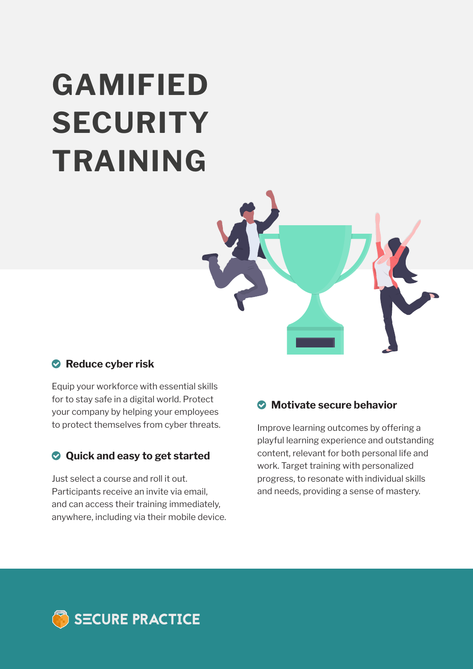# **GAMIFIED SECURITY TRAINING**



## **Reduce cyber risk**

Equip your workforce with essential skills for to stay safe in a digital world. Protect your company by helping your employees to protect themselves from cyber threats.

## **Quick and easy to get started**

Just select a course and roll it out. Participants receive an invite via email, and can access their training immediately, anywhere, including via their mobile device.

#### **Motivate secure behavior**

Improve learning outcomes by offering a playful learning experience and outstanding content, relevant for both personal life and work. Target training with personalized progress, to resonate with individual skills and needs, providing a sense of mastery.